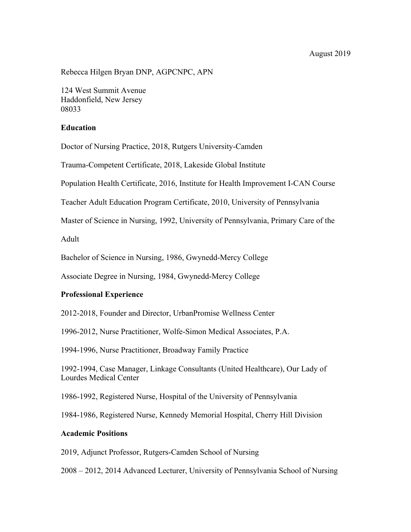#### August 2019

Rebecca Hilgen Bryan DNP, AGPCNPC, APN

124 West Summit Avenue Haddonfield, New Jersey 08033

### **Education**

Doctor of Nursing Practice, 2018, Rutgers University-Camden

Trauma-Competent Certificate, 2018, Lakeside Global Institute

Population Health Certificate, 2016, Institute for Health Improvement I-CAN Course

Teacher Adult Education Program Certificate, 2010, University of Pennsylvania

Master of Science in Nursing, 1992, University of Pennsylvania, Primary Care of the

Adult

Bachelor of Science in Nursing, 1986, Gwynedd-Mercy College

Associate Degree in Nursing, 1984, Gwynedd-Mercy College

## **Professional Experience**

2012-2018, Founder and Director, UrbanPromise Wellness Center

1996-2012, Nurse Practitioner, Wolfe-Simon Medical Associates, P.A.

1994-1996, Nurse Practitioner, Broadway Family Practice

1992-1994, Case Manager, Linkage Consultants (United Healthcare), Our Lady of Lourdes Medical Center

1986-1992, Registered Nurse, Hospital of the University of Pennsylvania

1984-1986, Registered Nurse, Kennedy Memorial Hospital, Cherry Hill Division

#### **Academic Positions**

2019, Adjunct Professor, Rutgers-Camden School of Nursing

2008 – 2012, 2014 Advanced Lecturer, University of Pennsylvania School of Nursing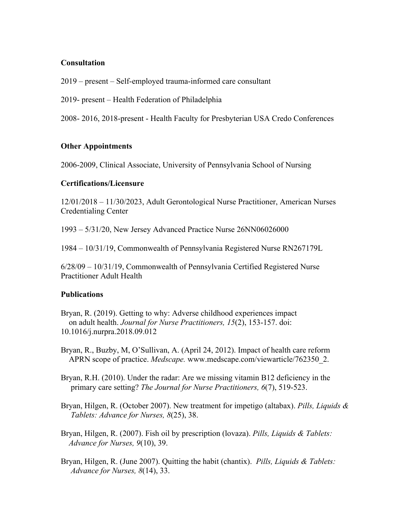# **Consultation**

2019 – present – Self-employed trauma-informed care consultant

2019- present – Health Federation of Philadelphia

2008- 2016, 2018-present - Health Faculty for Presbyterian USA Credo Conferences

# **Other Appointments**

2006-2009, Clinical Associate, University of Pennsylvania School of Nursing

## **Certifications/Licensure**

12/01/2018 – 11/30/2023, Adult Gerontological Nurse Practitioner, American Nurses Credentialing Center

1993 – 5/31/20, New Jersey Advanced Practice Nurse 26NN06026000

1984 – 10/31/19, Commonwealth of Pennsylvania Registered Nurse RN267179L

6/28/09 – 10/31/19, Commonwealth of Pennsylvania Certified Registered Nurse Practitioner Adult Health

## **Publications**

Bryan, R. (2019). Getting to why: Adverse childhood experiences impact on adult health. *Journal for Nurse Practitioners, 15*(2), 153-157. doi: 10.1016/j.nurpra.2018.09.012

Bryan, R., Buzby, M, O'Sullivan, A. (April 24, 2012). Impact of health care reform APRN scope of practice. *Medscape.* www.medscape.com/viewarticle/762350\_2.

- Bryan, R.H. (2010). Under the radar: Are we missing vitamin B12 deficiency in the primary care setting? *The Journal for Nurse Practitioners, 6*(7), 519-523.
- Bryan, Hilgen, R. (October 2007). New treatment for impetigo (altabax). *Pills, Liquids & Tablets: Advance for Nurses, 8*(25), 38.
- Bryan, Hilgen, R. (2007). Fish oil by prescription (lovaza). *Pills, Liquids & Tablets: Advance for Nurses, 9*(10), 39.
- Bryan, Hilgen, R. (June 2007). Quitting the habit (chantix). *Pills, Liquids & Tablets: Advance for Nurses, 8*(14), 33.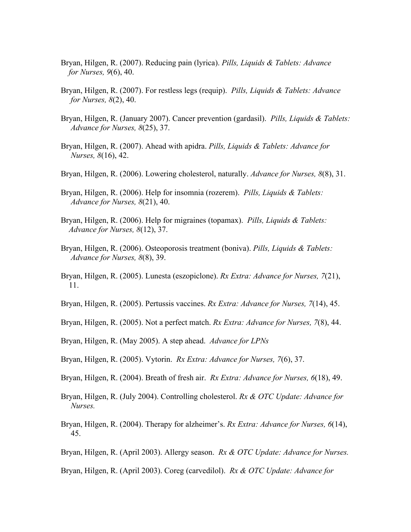- Bryan, Hilgen, R. (2007). Reducing pain (lyrica). *Pills, Liquids & Tablets: Advance for Nurses, 9*(6), 40.
- Bryan, Hilgen, R. (2007). For restless legs (requip). *Pills, Liquids & Tablets: Advance for Nurses, 8*(2), 40.
- Bryan, Hilgen, R. (January 2007). Cancer prevention (gardasil). *Pills, Liquids & Tablets: Advance for Nurses, 8*(25), 37.
- Bryan, Hilgen, R. (2007). Ahead with apidra. *Pills, Liquids & Tablets: Advance for Nurses, 8*(16), 42.
- Bryan, Hilgen, R. (2006). Lowering cholesterol, naturally. *Advance for Nurses, 8*(8), 31.
- Bryan, Hilgen, R. (2006). Help for insomnia (rozerem). *Pills, Liquids & Tablets: Advance for Nurses, 8*(21), 40.
- Bryan, Hilgen, R. (2006). Help for migraines (topamax). *Pills, Liquids & Tablets: Advance for Nurses, 8*(12), 37.
- Bryan, Hilgen, R. (2006). Osteoporosis treatment (boniva). *Pills, Liquids & Tablets: Advance for Nurses, 8*(8), 39.
- Bryan, Hilgen, R. (2005). Lunesta (eszopiclone). *Rx Extra: Advance for Nurses, 7*(21), 11.
- Bryan, Hilgen, R. (2005). Pertussis vaccines. *Rx Extra: Advance for Nurses, 7*(14), 45.
- Bryan, Hilgen, R. (2005). Not a perfect match. *Rx Extra: Advance for Nurses, 7*(8), 44.
- Bryan, Hilgen, R. (May 2005). A step ahead. *Advance for LPNs*
- Bryan, Hilgen, R. (2005). Vytorin. *Rx Extra: Advance for Nurses, 7*(6), 37.
- Bryan, Hilgen, R. (2004). Breath of fresh air. *Rx Extra: Advance for Nurses, 6*(18), 49.
- Bryan, Hilgen, R. (July 2004). Controlling cholesterol. *Rx & OTC Update: Advance for Nurses.*
- Bryan, Hilgen, R. (2004). Therapy for alzheimer's. *Rx Extra: Advance for Nurses, 6*(14), 45.
- Bryan, Hilgen, R. (April 2003). Allergy season. *Rx & OTC Update: Advance for Nurses.*
- Bryan, Hilgen, R. (April 2003). Coreg (carvedilol). *Rx & OTC Update: Advance for*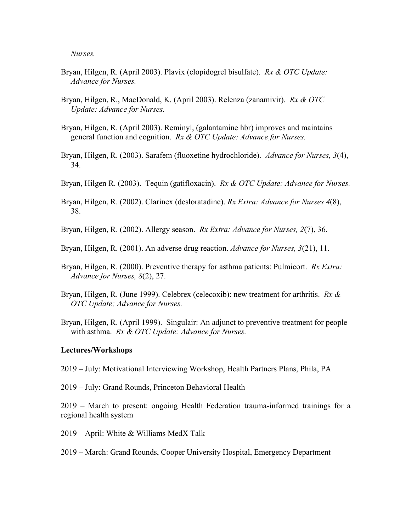*Nurses.*

- Bryan, Hilgen, R. (April 2003). Plavix (clopidogrel bisulfate). *Rx & OTC Update: Advance for Nurses.*
- Bryan, Hilgen, R., MacDonald, K. (April 2003). Relenza (zanamivir). *Rx & OTC Update: Advance for Nurses.*
- Bryan, Hilgen, R. (April 2003). Reminyl, (galantamine hbr) improves and maintains general function and cognition. *Rx & OTC Update: Advance for Nurses.*
- Bryan, Hilgen, R. (2003). Sarafem (fluoxetine hydrochloride). *Advance for Nurses, 3*(4), 34.
- Bryan, Hilgen R. (2003). Tequin (gatifloxacin). *Rx & OTC Update: Advance for Nurses.*
- Bryan, Hilgen, R. (2002). Clarinex (desloratadine). *Rx Extra: Advance for Nurses 4*(8), 38.
- Bryan, Hilgen, R. (2002). Allergy season. *Rx Extra: Advance for Nurses, 2*(7), 36.
- Bryan, Hilgen, R. (2001). An adverse drug reaction. *Advance for Nurses, 3*(21), 11.
- Bryan, Hilgen, R. (2000). Preventive therapy for asthma patients: Pulmicort. *Rx Extra: Advance for Nurses, 8*(2), 27.
- Bryan, Hilgen, R. (June 1999). Celebrex (celecoxib): new treatment for arthritis. *Rx & OTC Update; Advance for Nurses.*
- Bryan, Hilgen, R. (April 1999). Singulair: An adjunct to preventive treatment for people with asthma. *Rx & OTC Update: Advance for Nurses.*

#### **Lectures/Workshops**

- 2019 July: Motivational Interviewing Workshop, Health Partners Plans, Phila, PA
- 2019 July: Grand Rounds, Princeton Behavioral Health

2019 – March to present: ongoing Health Federation trauma-informed trainings for a regional health system

- 2019 April: White & Williams MedX Talk
- 2019 March: Grand Rounds, Cooper University Hospital, Emergency Department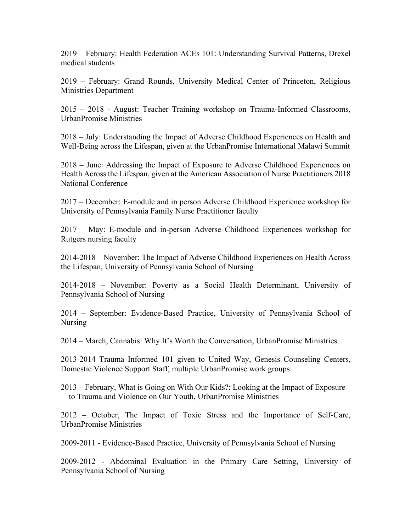2019 – February: Health Federation ACEs 101: Understanding Survival Patterns, Drexel medical students

2019 – February: Grand Rounds, University Medical Center of Princeton, Religious Ministries Department

2015 – 2018 - August: Teacher Training workshop on Trauma-Informed Classrooms, UrbanPromise Ministries

2018 – July: Understanding the Impact of Adverse Childhood Experiences on Health and Well-Being across the Lifespan, given at the UrbanPromise International Malawi Summit

2018 – June: Addressing the Impact of Exposure to Adverse Childhood Experiences on Health Across the Lifespan, given at the American Association of Nurse Practitioners 2018 National Conference

2017 – December: E-module and in person Adverse Childhood Experience workshop for University of Pennsylvania Family Nurse Practitioner faculty

2017 – May: E-module and in-person Adverse Childhood Experiences workshop for Rutgers nursing faculty

2014-2018 – November: The Impact of Adverse Childhood Experiences on Health Across the Lifespan, University of Pennsylvania School of Nursing

2014-2018 – November: Poverty as a Social Health Determinant, University of Pennsylvania School of Nursing

2014 – September: Evidence-Based Practice, University of Pennsylvania School of Nursing

2014 – March, Cannabis: Why It's Worth the Conversation, UrbanPromise Ministries

2013-2014 Trauma Informed 101 given to United Way, Genesis Counseling Centers, Domestic Violence Support Staff, multiple UrbanPromise work groups

2013 – February, What is Going on With Our Kids?: Looking at the Impact of Exposure to Trauma and Violence on Our Youth, UrbanPromise Ministries

2012 – October, The Impact of Toxic Stress and the Importance of Self-Care, UrbanPromise Ministries

2009-2011 - Evidence-Based Practice, University of Pennsylvania School of Nursing

2009-2012 - Abdominal Evaluation in the Primary Care Setting, University of Pennsylvania School of Nursing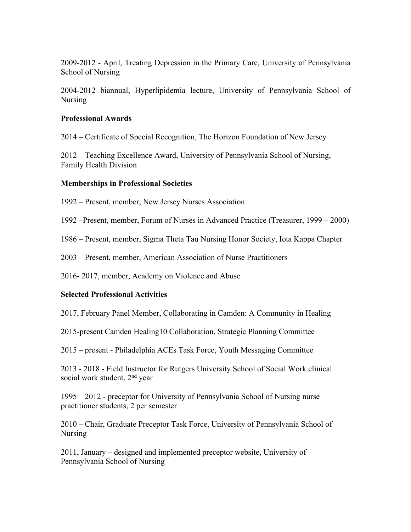2009-2012 - April, Treating Depression in the Primary Care, University of Pennsylvania School of Nursing

2004-2012 biannual, Hyperlipidemia lecture, University of Pennsylvania School of Nursing

# **Professional Awards**

2014 – Certificate of Special Recognition, The Horizon Foundation of New Jersey

2012 – Teaching Excellence Award, University of Pennsylvania School of Nursing, Family Health Division

# **Memberships in Professional Societies**

1992 – Present, member, New Jersey Nurses Association

1992 –Present, member, Forum of Nurses in Advanced Practice (Treasurer, 1999 – 2000)

1986 – Present, member, Sigma Theta Tau Nursing Honor Society, Iota Kappa Chapter

2003 – Present, member, American Association of Nurse Practitioners

2016- 2017, member, Academy on Violence and Abuse

# **Selected Professional Activities**

2017, February Panel Member, Collaborating in Camden: A Community in Healing

2015-present Camden Healing10 Collaboration, Strategic Planning Committee

2015 – present - Philadelphia ACEs Task Force, Youth Messaging Committee

2013 - 2018 - Field Instructor for Rutgers University School of Social Work clinical social work student, 2<sup>nd</sup> year

1995 – 2012 - preceptor for University of Pennsylvania School of Nursing nurse practitioner students, 2 per semester

2010 – Chair, Graduate Preceptor Task Force, University of Pennsylvania School of Nursing

2011, January – designed and implemented preceptor website, University of Pennsylvania School of Nursing